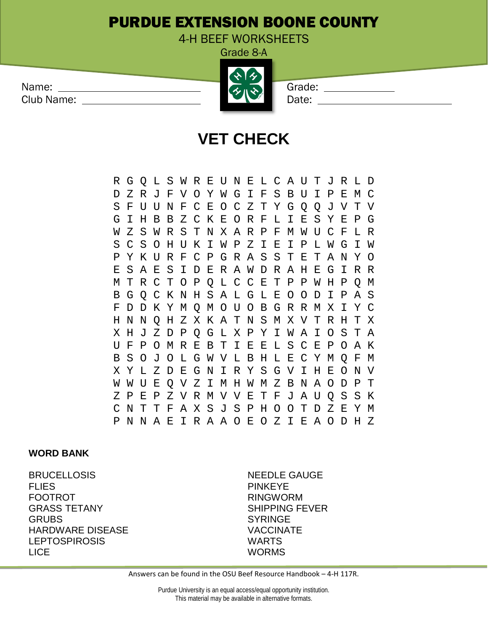## PURDUE EXTENSION BOONE COUNTY

4-H BEEF WORKSHEETS Grade 8-A

| Name:      | $\mathbf{A}$                        | Grade: |
|------------|-------------------------------------|--------|
| Club Name: | $\left\langle \gamma \right\rangle$ | Date:  |
|            |                                     |        |

## **VET CHECK**

R G Q L S W R E U N E L C A U T J R L D D Z R J F V O Y W G I F S B U I P E M C S F U U N F C E O C Z T Y G Q Q J V T V G I H B B Z C K E O R F L I E S Y E P G W Z S W R S T N X A R P F M W U C F L R S C S O H U K I W P Z I E I P L W G I W P Y K U R F C P G R A S S T E T A N Y O E S A E S I D E R A W D R A H E G I R R M T R C T O P Q L C C E T P P W H P Q M B G Q C K N H S A L G L E O O D I P A S F D D K Y M Q M O U O B G R R M X I Y C H N N Q H Z X K A T N S M X V T R H T X X H J Z D P Q G L X P Y I W A I O S T A U F P O M R E B T I E E L S C E P O A K B S O J O L G W V L B H L E C Y M Q F M X Y L Z D E G N I R Y S G V I H E O N V W W U E Q V Z I M H W M Z B N A O D P T Z P E P Z V R M V V E T F J A U Q S S K C N T T F A X S J S P H O O T D Z E Y M P N N A E I R A A O E O Z I E A O D H Z

## **WORD BANK**

BRUCELLOSIS NEEDLE GAUGE FLIES PINKEYE FOOTROT THE RINGWORM RINGWORM GRASS TETANY THE SHIPPING FEVER GRUBS SYRINGE HARDWARE DISEASE VACCINATE LEPTOSPIROSIS WARTS LICE WORMS

Answers can be found in the OSU Beef Resource Handbook – 4-H 117R.